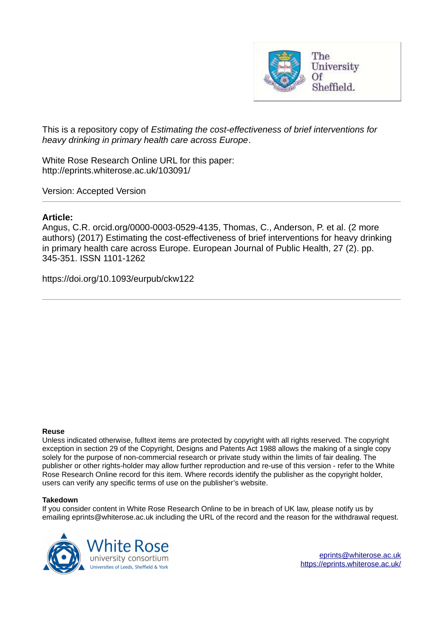

This is a repository copy of *Estimating the cost-effectiveness of brief interventions for heavy drinking in primary health care across Europe*.

White Rose Research Online URL for this paper: http://eprints.whiterose.ac.uk/103091/

Version: Accepted Version

## **Article:**

Angus, C.R. orcid.org/0000-0003-0529-4135, Thomas, C., Anderson, P. et al. (2 more authors) (2017) Estimating the cost-effectiveness of brief interventions for heavy drinking in primary health care across Europe. European Journal of Public Health, 27 (2). pp. 345-351. ISSN 1101-1262

https://doi.org/10.1093/eurpub/ckw122

### **Reuse**

Unless indicated otherwise, fulltext items are protected by copyright with all rights reserved. The copyright exception in section 29 of the Copyright, Designs and Patents Act 1988 allows the making of a single copy solely for the purpose of non-commercial research or private study within the limits of fair dealing. The publisher or other rights-holder may allow further reproduction and re-use of this version - refer to the White Rose Research Online record for this item. Where records identify the publisher as the copyright holder, users can verify any specific terms of use on the publisher's website.

## **Takedown**

If you consider content in White Rose Research Online to be in breach of UK law, please notify us by emailing eprints@whiterose.ac.uk including the URL of the record and the reason for the withdrawal request.

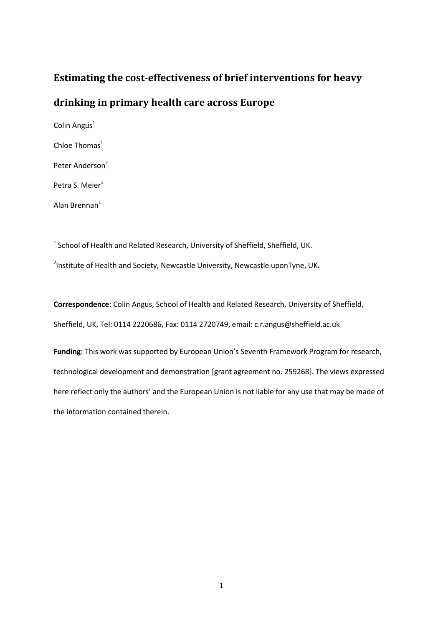# **Estimating the cost-effectiveness of brief interventions for heavy**

# **drinking in primary health care across Europe**

Colin Angus $^1$ Chloe Thomas $<sup>1</sup>$ </sup> Peter Anderson<sup>2</sup> Petra S. Meier<sup>1</sup> Alan Brennan $1$ 

 $^1$  School of Health and Related Research, University of Sheffield, Sheffield, UK.

<sup>2</sup>Institute of Health and Society, Newcastle University, Newcastle uponTyne, UK.

**Correspondence**: Colin Angus, School of Health and Related Research, University of Sheffield, Sheffield, UK, Tel: 0114 2220686, Fax: 0114 2720749, email: c.r.angus@sheffield.ac.uk

Funding: This work was supported by European Union's Seventh Framework Program for research, technological development and demonstration [grant agreement no. 259268]. The views expressed here reflect only the authors' and the European Union is not liable for any use that may be made of the information contained therein.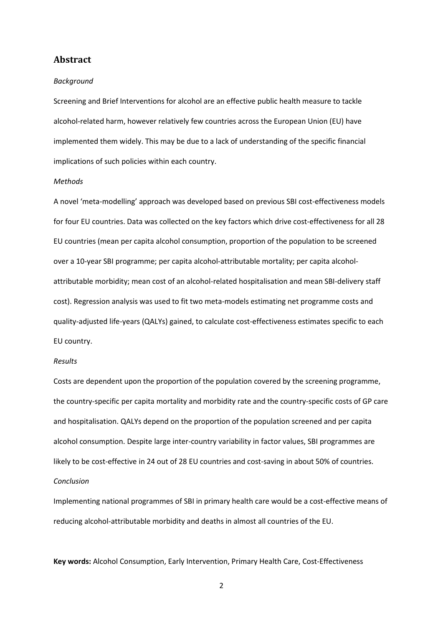## **Abstract**

#### *Background*

Screening and Brief Interventions for alcohol are an effective public health measure to tackle alcohol-related harm, however relatively few countries across the European Union (EU) have implemented them widely. This may be due to a lack of understanding of the specific financial implications of such policies within each country.

#### *Methods*

A novel 'meta-modelling' approach was developed based on previous SBI cost-effectiveness models for four EU countries. Data was collected on the key factors which drive cost-effectiveness for all 28 EU countries (mean per capita alcohol consumption, proportion of the population to be screened over a 10-year SBI programme; per capita alcohol-attributable mortality; per capita alcoholattributable morbidity; mean cost of an alcohol-related hospitalisation and mean SBI-delivery staff cost). Regression analysis was used to fit two meta-models estimating net programme costs and quality-adjusted life-years (QALYs) gained, to calculate cost-effectiveness estimates specific to each EU country.

### *Results*

Costs are dependent upon the proportion of the population covered by the screening programme, the country-specific per capita mortality and morbidity rate and the country-specific costs of GP care and hospitalisation. QALYs depend on the proportion of the population screened and per capita alcohol consumption. Despite large inter-country variability in factor values, SBI programmes are likely to be cost-effective in 24 out of 28 EU countries and cost-saving in about 50% of countries. *Conclusion*

Implementing national programmes of SBI in primary health care would be a cost-effective means of reducing alcohol-attributable morbidity and deaths in almost all countries of the EU.

**Key words:** Alcohol Consumption, Early Intervention, Primary Health Care, Cost-Effectiveness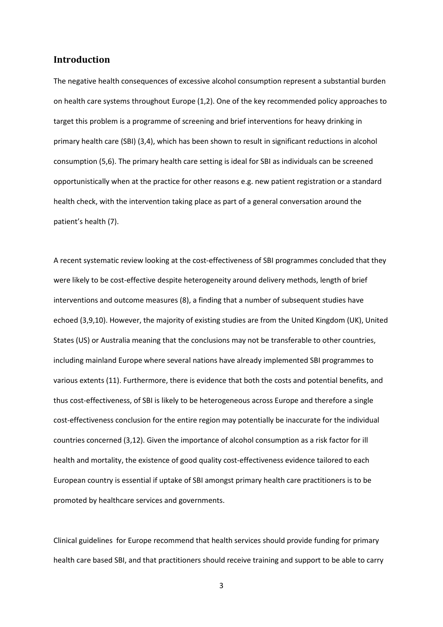## **Introduction**

The negative health consequences of excessive alcohol consumption represent a substantial burden on health care systems throughout Europe (1,2). One of the key recommended policy approaches to target this problem is a programme of screening and brief interventions for heavy drinking in primary health care (SBI) (3,4), which has been shown to result in significant reductions in alcohol consumption (5,6). The primary health care setting is ideal for SBI as individuals can be screened opportunistically when at the practice for other reasons e.g. new patient registration or a standard health check, with the intervention taking place as part of a general conversation around the patient's health (7).

A recent systematic review looking at the cost-effectiveness of SBI programmes concluded that they were likely to be cost-effective despite heterogeneity around delivery methods, length of brief interventions and outcome measures (8), a finding that a number of subsequent studies have echoed (3,9,10). However, the majority of existing studies are from the United Kingdom (UK), United States (US) or Australia meaning that the conclusions may not be transferable to other countries, including mainland Europe where several nations have already implemented SBI programmes to various extents (11). Furthermore, there is evidence that both the costs and potential benefits, and thus cost-effectiveness, of SBI is likely to be heterogeneous across Europe and therefore a single cost-effectiveness conclusion for the entire region may potentially be inaccurate for the individual countries concerned (3,12). Given the importance of alcohol consumption as a risk factor for ill health and mortality, the existence of good quality cost-effectiveness evidence tailored to each European country is essential if uptake of SBI amongst primary health care practitioners is to be promoted by healthcare services and governments.

Clinical guidelines for Europe recommend that health services should provide funding for primary health care based SBI, and that practitioners should receive training and support to be able to carry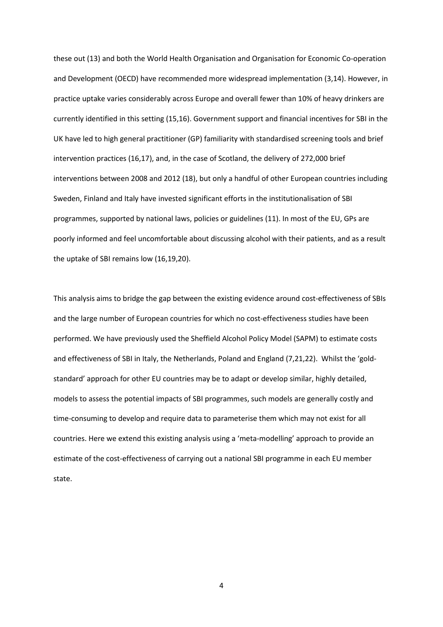these out (13) and both the World Health Organisation and Organisation for Economic Co-operation and Development (OECD) have recommended more widespread implementation (3,14). However, in practice uptake varies considerably across Europe and overall fewer than 10% of heavy drinkers are currently identified in this setting (15,16). Government support and financial incentives for SBI in the UK have led to high general practitioner (GP) familiarity with standardised screening tools and brief intervention practices (16,17), and, in the case of Scotland, the delivery of 272,000 brief interventions between 2008 and 2012 (18), but only a handful of other European countries including Sweden, Finland and Italy have invested significant efforts in the institutionalisation of SBI programmes, supported by national laws, policies or guidelines (11). In most of the EU, GPs are poorly informed and feel uncomfortable about discussing alcohol with their patients, and as a result the uptake of SBI remains low (16,19,20).

This analysis aims to bridge the gap between the existing evidence around cost-effectiveness of SBIs and the large number of European countries for which no cost-effectiveness studies have been performed. We have previously used the Sheffield Alcohol Policy Model (SAPM) to estimate costs and effectiveness of SBI in Italy, the Netherlands, Poland and England (7,21,22). Whilst the 'goldstandardí approach for other EU countries may be to adapt or develop similar, highly detailed, models to assess the potential impacts of SBI programmes, such models are generally costly and time-consuming to develop and require data to parameterise them which may not exist for all countries. Here we extend this existing analysis using a 'meta-modelling' approach to provide an estimate of the cost-effectiveness of carrying out a national SBI programme in each EU member state.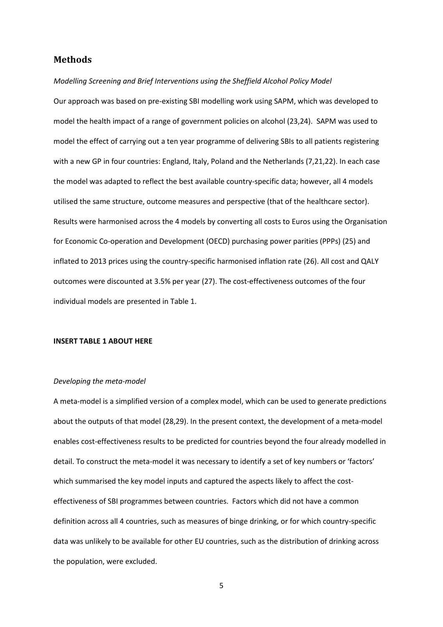## **Methods**

#### *Modelling Screening and Brief Interventions using the Sheffield Alcohol Policy Model*

Our approach was based on pre-existing SBI modelling work using SAPM, which was developed to model the health impact of a range of government policies on alcohol (23,24). SAPM was used to model the effect of carrying out a ten year programme of delivering SBIs to all patients registering with a new GP in four countries: England, Italy, Poland and the Netherlands (7,21,22). In each case the model was adapted to reflect the best available country-specific data; however, all 4 models utilised the same structure, outcome measures and perspective (that of the healthcare sector). Results were harmonised across the 4 models by converting all costs to Euros using the Organisation for Economic Co-operation and Development (OECD) purchasing power parities (PPPs) (25) and inflated to 2013 prices using the country-specific harmonised inflation rate (26). All cost and QALY outcomes were discounted at 3.5% per year (27). The cost-effectiveness outcomes of the four individual models are presented in [Table 1.](#page-23-0)

#### **INSERT TABLE 1 ABOUT HERE**

#### *Developing the meta-model*

A meta-model is a simplified version of a complex model, which can be used to generate predictions about the outputs of that model (28,29). In the present context, the development of a meta-model enables cost-effectiveness results to be predicted for countries beyond the four already modelled in detail. To construct the meta-model it was necessary to identify a set of key numbers or 'factors' which summarised the key model inputs and captured the aspects likely to affect the costeffectiveness of SBI programmes between countries. Factors which did not have a common definition across all 4 countries, such as measures of binge drinking, or for which country-specific data was unlikely to be available for other EU countries, such as the distribution of drinking across the population, were excluded.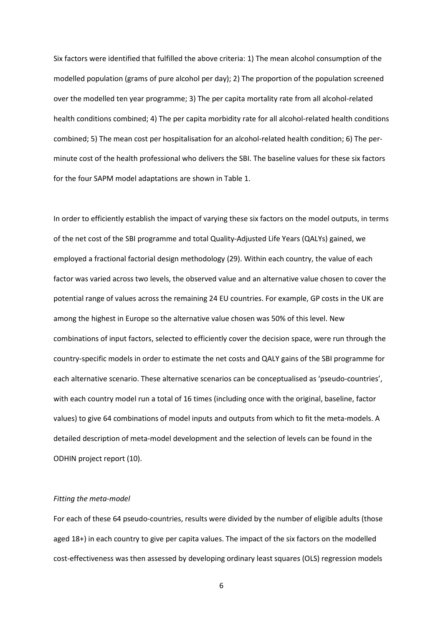Six factors were identified that fulfilled the above criteria: 1) The mean alcohol consumption of the modelled population (grams of pure alcohol per day); 2) The proportion of the population screened over the modelled ten year programme; 3) The per capita mortality rate from all alcohol-related health conditions combined; 4) The per capita morbidity rate for all alcohol-related health conditions combined; 5) The mean cost per hospitalisation for an alcohol-related health condition; 6) The perminute cost of the health professional who delivers the SBI. The baseline values for these six factors for the four SAPM model adaptations are shown in [Table 1.](#page-23-0)

In order to efficiently establish the impact of varying these six factors on the model outputs, in terms of the net cost of the SBI programme and total Quality-Adjusted Life Years (QALYs) gained, we employed a fractional factorial design methodology (29). Within each country, the value of each factor was varied across two levels, the observed value and an alternative value chosen to cover the potential range of values across the remaining 24 EU countries. For example, GP costs in the UK are among the highest in Europe so the alternative value chosen was 50% of this level. New combinations of input factors, selected to efficiently cover the decision space, were run through the country-specific models in order to estimate the net costs and QALY gains of the SBI programme for each alternative scenario. These alternative scenarios can be conceptualised as 'pseudo-countries', with each country model run a total of 16 times (including once with the original, baseline, factor values) to give 64 combinations of model inputs and outputs from which to fit the meta-models. A detailed description of meta-model development and the selection of levels can be found in the ODHIN project report (10).

#### *Fitting the meta-model*

For each of these 64 pseudo-countries, results were divided by the number of eligible adults (those aged 18+) in each country to give per capita values. The impact of the six factors on the modelled cost-effectiveness was then assessed by developing ordinary least squares (OLS) regression models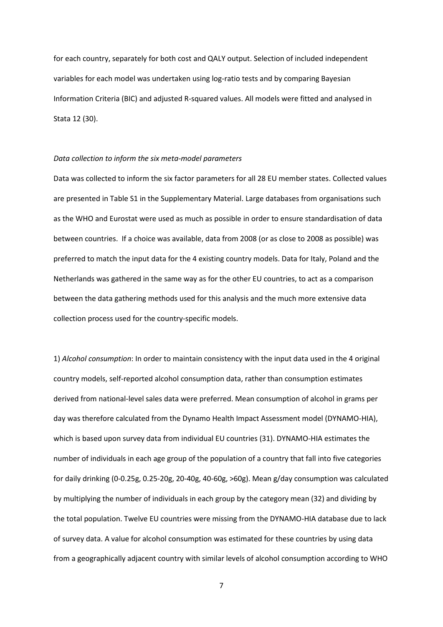for each country, separately for both cost and QALY output. Selection of included independent variables for each model was undertaken using log-ratio tests and by comparing Bayesian Information Criteria (BIC) and adjusted R-squared values. All models were fitted and analysed in Stata 12 (30).

### *Data collection to inform the six meta-model parameters*

Data was collected to inform the six factor parameters for all 28 EU member states. Collected values are presented in Table S1 in the Supplementary Material. Large databases from organisations such as the WHO and Eurostat were used as much as possible in order to ensure standardisation of data between countries. If a choice was available, data from 2008 (or as close to 2008 as possible) was preferred to match the input data for the 4 existing country models. Data for Italy, Poland and the Netherlands was gathered in the same way as for the other EU countries, to act as a comparison between the data gathering methods used for this analysis and the much more extensive data collection process used for the country-specific models.

1) *Alcohol consumption*: In order to maintain consistency with the input data used in the 4 original country models, self-reported alcohol consumption data, rather than consumption estimates derived from national-level sales data were preferred. Mean consumption of alcohol in grams per day was therefore calculated from the Dynamo Health Impact Assessment model (DYNAMO-HIA), which is based upon survey data from individual EU countries (31). DYNAMO-HIA estimates the number of individuals in each age group of the population of a country that fall into five categories for daily drinking (0-0.25g, 0.25-20g, 20-40g, 40-60g, >60g). Mean g/day consumption was calculated by multiplying the number of individuals in each group by the category mean (32) and dividing by the total population. Twelve EU countries were missing from the DYNAMO-HIA database due to lack of survey data. A value for alcohol consumption was estimated for these countries by using data from a geographically adjacent country with similar levels of alcohol consumption according to WHO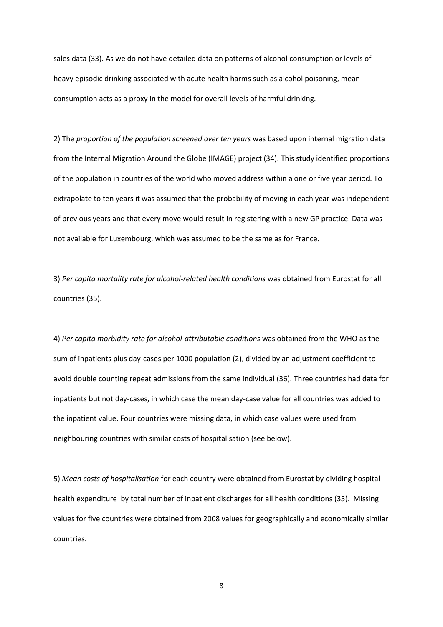sales data (33). As we do not have detailed data on patterns of alcohol consumption or levels of heavy episodic drinking associated with acute health harms such as alcohol poisoning, mean consumption acts as a proxy in the model for overall levels of harmful drinking.

2) The *proportion of the population screened over ten years* was based upon internal migration data from the Internal Migration Around the Globe (IMAGE) project (34). This study identified proportions of the population in countries of the world who moved address within a one or five year period. To extrapolate to ten years it was assumed that the probability of moving in each year was independent of previous years and that every move would result in registering with a new GP practice. Data was not available for Luxembourg, which was assumed to be the same as for France.

3) *Per capita mortality rate for alcohol-related health conditions* was obtained from Eurostat for all countries (35).

4) *Per capita morbidity rate for alcohol-attributable conditions* was obtained from the WHO as the sum of inpatients plus day-cases per 1000 population (2), divided by an adjustment coefficient to avoid double counting repeat admissions from the same individual (36). Three countries had data for inpatients but not day-cases, in which case the mean day-case value for all countries was added to the inpatient value. Four countries were missing data, in which case values were used from neighbouring countries with similar costs of hospitalisation (see below).

5) *Mean costs of hospitalisation* for each country were obtained from Eurostat by dividing hospital health expenditure by total number of inpatient discharges for all health conditions (35). Missing values for five countries were obtained from 2008 values for geographically and economically similar countries.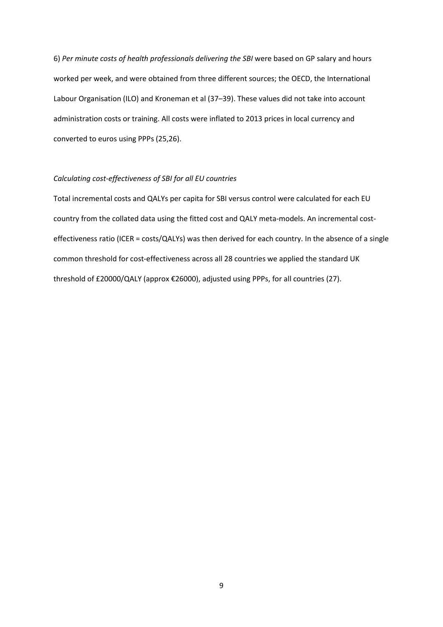6) *Per minute costs of health professionals delivering the SBI* were based on GP salary and hours worked per week, and were obtained from three different sources; the OECD, the International Labour Organisation (ILO) and Kroneman et al (37-39). These values did not take into account administration costs or training. All costs were inflated to 2013 prices in local currency and converted to euros using PPPs (25,26).

### *Calculating cost-effectiveness of SBI for all EU countries*

Total incremental costs and QALYs per capita for SBI versus control were calculated for each EU country from the collated data using the fitted cost and QALY meta-models. An incremental costeffectiveness ratio (ICER = costs/QALYs) was then derived for each country. In the absence of a single common threshold for cost-effectiveness across all 28 countries we applied the standard UK threshold of £20000/QALY (approx €26000), adjusted using PPPs, for all countries (27).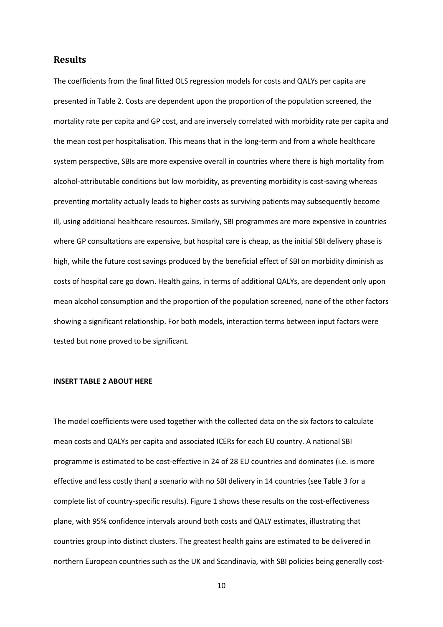## **Results**

The coefficients from the final fitted OLS regression models for costs and QALYs per capita are presented in Table 2. Costs are dependent upon the proportion of the population screened, the mortality rate per capita and GP cost, and are inversely correlated with morbidity rate per capita and the mean cost per hospitalisation. This means that in the long-term and from a whole healthcare system perspective, SBIs are more expensive overall in countries where there is high mortality from alcohol-attributable conditions but low morbidity, as preventing morbidity is cost-saving whereas preventing mortality actually leads to higher costs as surviving patients may subsequently become ill, using additional healthcare resources. Similarly, SBI programmes are more expensive in countries where GP consultations are expensive, but hospital care is cheap, as the initial SBI delivery phase is high, while the future cost savings produced by the beneficial effect of SBI on morbidity diminish as costs of hospital care go down. Health gains, in terms of additional QALYs, are dependent only upon mean alcohol consumption and the proportion of the population screened, none of the other factors showing a significant relationship. For both models, interaction terms between input factors were tested but none proved to be significant.

### **INSERT TABLE 2 ABOUT HERE**

The model coefficients were used together with the collected data on the six factors to calculate mean costs and QALYs per capita and associated ICERs for each EU country. A national SBI programme is estimated to be cost-effective in 24 of 28 EU countries and dominates (i.e. is more effective and less costly than) a scenario with no SBI delivery in 14 countries (see Table 3 for a complete list of country-specific results). Figure 1 shows these results on the cost-effectiveness plane, with 95% confidence intervals around both costs and QALY estimates, illustrating that countries group into distinct clusters. The greatest health gains are estimated to be delivered in northern European countries such as the UK and Scandinavia, with SBI policies being generally cost-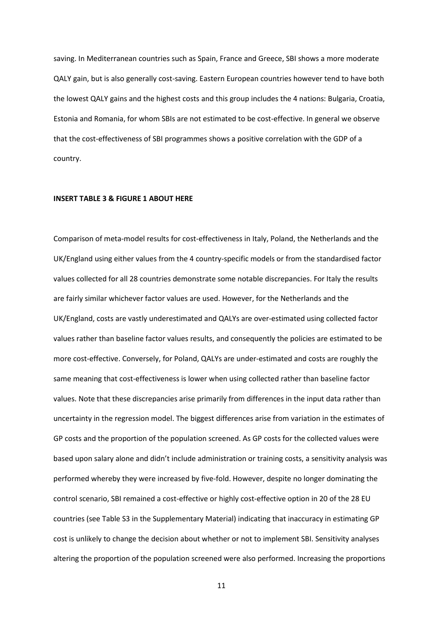saving. In Mediterranean countries such as Spain, France and Greece, SBI shows a more moderate QALY gain, but is also generally cost-saving. Eastern European countries however tend to have both the lowest QALY gains and the highest costs and this group includes the 4 nations: Bulgaria, Croatia, Estonia and Romania, for whom SBIs are not estimated to be cost-effective. In general we observe that the cost-effectiveness of SBI programmes shows a positive correlation with the GDP of a country.

### **INSERT TABLE 3 & FIGURE 1 ABOUT HERE**

Comparison of meta-model results for cost-effectiveness in Italy, Poland, the Netherlands and the UK/England using either values from the 4 country-specific models or from the standardised factor values collected for all 28 countries demonstrate some notable discrepancies. For Italy the results are fairly similar whichever factor values are used. However, for the Netherlands and the UK/England, costs are vastly underestimated and QALYs are over-estimated using collected factor values rather than baseline factor values results, and consequently the policies are estimated to be more cost-effective. Conversely, for Poland, QALYs are under-estimated and costs are roughly the same meaning that cost-effectiveness is lower when using collected rather than baseline factor values. Note that these discrepancies arise primarily from differences in the input data rather than uncertainty in the regression model. The biggest differences arise from variation in the estimates of GP costs and the proportion of the population screened. As GP costs for the collected values were based upon salary alone and didn't include administration or training costs, a sensitivity analysis was performed whereby they were increased by five-fold. However, despite no longer dominating the control scenario, SBI remained a cost-effective or highly cost-effective option in 20 of the 28 EU countries (see Table S3 in the Supplementary Material) indicating that inaccuracy in estimating GP cost is unlikely to change the decision about whether or not to implement SBI. Sensitivity analyses altering the proportion of the population screened were also performed. Increasing the proportions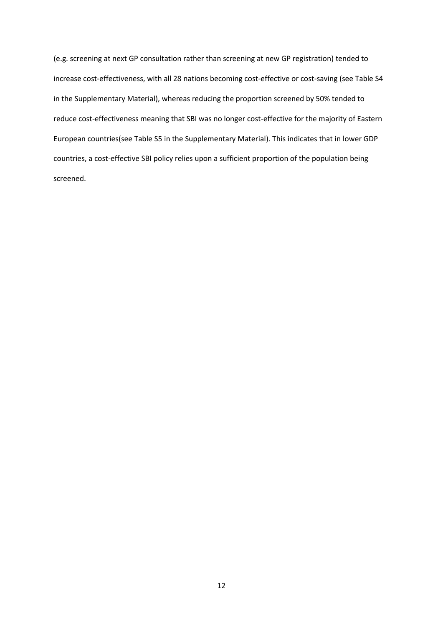(e.g. screening at next GP consultation rather than screening at new GP registration) tended to increase cost-effectiveness, with all 28 nations becoming cost-effective or cost-saving (see Table S4 in the Supplementary Material), whereas reducing the proportion screened by 50% tended to reduce cost-effectiveness meaning that SBI was no longer cost-effective for the majority of Eastern European countries(see Table S5 in the Supplementary Material). This indicates that in lower GDP countries, a cost-effective SBI policy relies upon a sufficient proportion of the population being screened.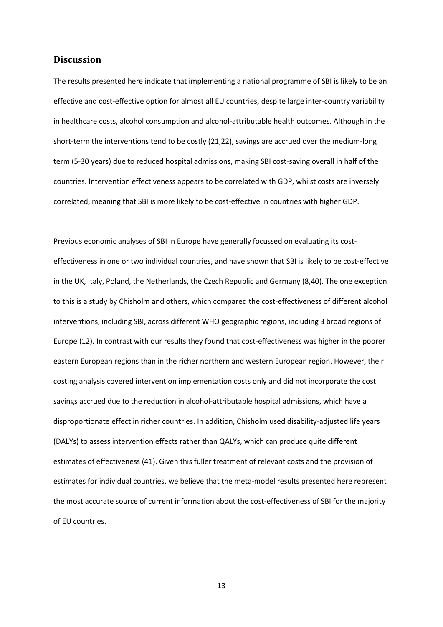## **Discussion**

The results presented here indicate that implementing a national programme of SBI is likely to be an effective and cost-effective option for almost all EU countries, despite large inter-country variability in healthcare costs, alcohol consumption and alcohol-attributable health outcomes. Although in the short-term the interventions tend to be costly (21,22), savings are accrued over the medium-long term (5-30 years) due to reduced hospital admissions, making SBI cost-saving overall in half of the countries. Intervention effectiveness appears to be correlated with GDP, whilst costs are inversely correlated, meaning that SBI is more likely to be cost-effective in countries with higher GDP.

Previous economic analyses of SBI in Europe have generally focussed on evaluating its costeffectiveness in one or two individual countries, and have shown that SBI is likely to be cost-effective in the UK, Italy, Poland, the Netherlands, the Czech Republic and Germany (8,40). The one exception to this is a study by Chisholm and others, which compared the cost-effectiveness of different alcohol interventions, including SBI, across different WHO geographic regions, including 3 broad regions of Europe (12). In contrast with our results they found that cost-effectiveness was higher in the poorer eastern European regions than in the richer northern and western European region. However, their costing analysis covered intervention implementation costs only and did not incorporate the cost savings accrued due to the reduction in alcohol-attributable hospital admissions, which have a disproportionate effect in richer countries. In addition, Chisholm used disability-adjusted life years (DALYs) to assess intervention effects rather than QALYs, which can produce quite different estimates of effectiveness (41). Given this fuller treatment of relevant costs and the provision of estimates for individual countries, we believe that the meta-model results presented here represent the most accurate source of current information about the cost-effectiveness of SBI for the majority of EU countries.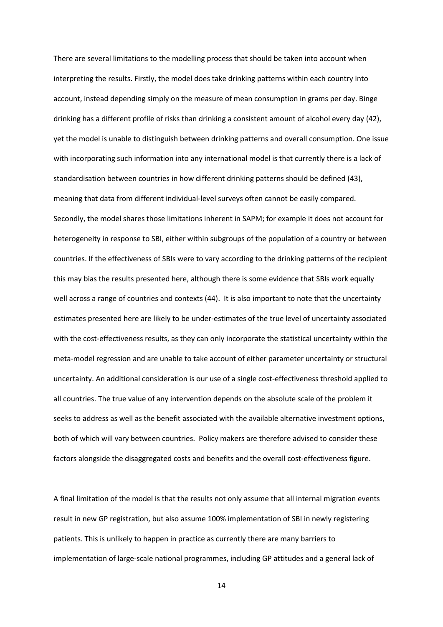There are several limitations to the modelling process that should be taken into account when interpreting the results. Firstly, the model does take drinking patterns within each country into account, instead depending simply on the measure of mean consumption in grams per day. Binge drinking has a different profile of risks than drinking a consistent amount of alcohol every day (42), yet the model is unable to distinguish between drinking patterns and overall consumption. One issue with incorporating such information into any international model is that currently there is a lack of standardisation between countries in how different drinking patterns should be defined (43), meaning that data from different individual-level surveys often cannot be easily compared. Secondly, the model shares those limitations inherent in SAPM; for example it does not account for heterogeneity in response to SBI, either within subgroups of the population of a country or between countries. If the effectiveness of SBIs were to vary according to the drinking patterns of the recipient this may bias the results presented here, although there is some evidence that SBIs work equally well across a range of countries and contexts (44). It is also important to note that the uncertainty estimates presented here are likely to be under-estimates of the true level of uncertainty associated with the cost-effectiveness results, as they can only incorporate the statistical uncertainty within the meta-model regression and are unable to take account of either parameter uncertainty or structural uncertainty. An additional consideration is our use of a single cost-effectiveness threshold applied to all countries. The true value of any intervention depends on the absolute scale of the problem it seeks to address as well as the benefit associated with the available alternative investment options, both of which will vary between countries. Policy makers are therefore advised to consider these factors alongside the disaggregated costs and benefits and the overall cost-effectiveness figure.

A final limitation of the model is that the results not only assume that all internal migration events result in new GP registration, but also assume 100% implementation of SBI in newly registering patients. This is unlikely to happen in practice as currently there are many barriers to implementation of large-scale national programmes, including GP attitudes and a general lack of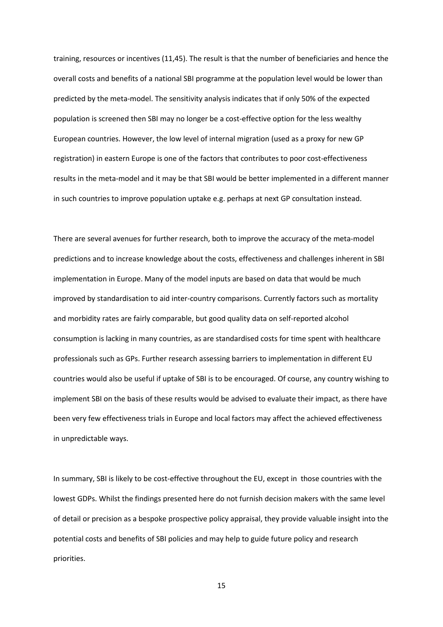training, resources or incentives (11,45). The result is that the number of beneficiaries and hence the overall costs and benefits of a national SBI programme at the population level would be lower than predicted by the meta-model. The sensitivity analysis indicates that if only 50% of the expected population is screened then SBI may no longer be a cost-effective option for the less wealthy European countries. However, the low level of internal migration (used as a proxy for new GP registration) in eastern Europe is one of the factors that contributes to poor cost-effectiveness results in the meta-model and it may be that SBI would be better implemented in a different manner in such countries to improve population uptake e.g. perhaps at next GP consultation instead.

There are several avenues for further research, both to improve the accuracy of the meta-model predictions and to increase knowledge about the costs, effectiveness and challenges inherent in SBI implementation in Europe. Many of the model inputs are based on data that would be much improved by standardisation to aid inter-country comparisons. Currently factors such as mortality and morbidity rates are fairly comparable, but good quality data on self-reported alcohol consumption is lacking in many countries, as are standardised costs for time spent with healthcare professionals such as GPs. Further research assessing barriers to implementation in different EU countries would also be useful if uptake of SBI is to be encouraged. Of course, any country wishing to implement SBI on the basis of these results would be advised to evaluate their impact, as there have been very few effectiveness trials in Europe and local factors may affect the achieved effectiveness in unpredictable ways.

In summary, SBI is likely to be cost-effective throughout the EU, except in those countries with the lowest GDPs. Whilst the findings presented here do not furnish decision makers with the same level of detail or precision as a bespoke prospective policy appraisal, they provide valuable insight into the potential costs and benefits of SBI policies and may help to guide future policy and research priorities.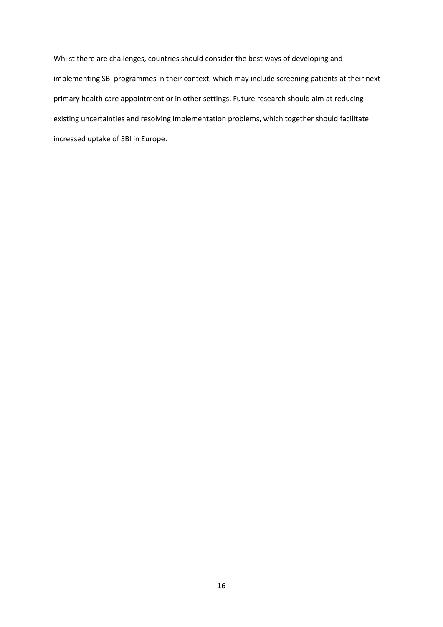Whilst there are challenges, countries should consider the best ways of developing and implementing SBI programmes in their context, which may include screening patients at their next primary health care appointment or in other settings. Future research should aim at reducing existing uncertainties and resolving implementation problems, which together should facilitate increased uptake of SBI in Europe.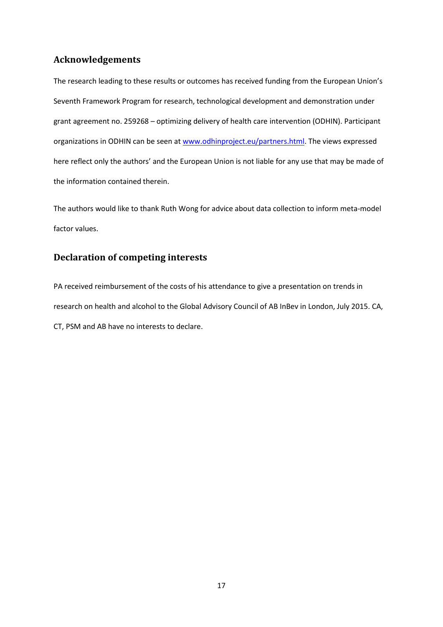## **Acknowledgements**

The research leading to these results or outcomes has received funding from the European Unionís Seventh Framework Program for research, technological development and demonstration under grant agreement no. 259268 - optimizing delivery of health care intervention (ODHIN). Participant organizations in ODHIN can be seen at [www.odhinproject.eu/partners.html.](http://www.odhinproject.eu/partners.html) The views expressed here reflect only the authors' and the European Union is not liable for any use that may be made of the information contained therein.

The authors would like to thank Ruth Wong for advice about data collection to inform meta-model factor values.

## **Declaration of competing interests**

PA received reimbursement of the costs of his attendance to give a presentation on trends in research on health and alcohol to the Global Advisory Council of AB InBev in London, July 2015. CA, CT, PSM and AB have no interests to declare.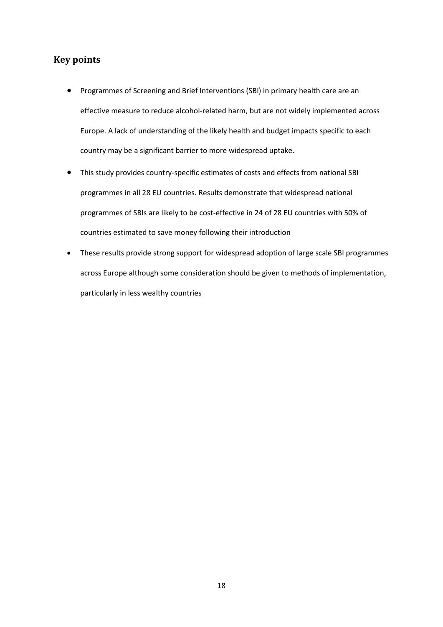# **Key points**

- Programmes of Screening and Brief Interventions (SBI) in primary health care are an effective measure to reduce alcohol-related harm, but are not widely implemented across Europe. A lack of understanding of the likely health and budget impacts specific to each country may be a significant barrier to more widespread uptake.
- This study provides country-specific estimates of costs and effects from national SBI programmes in all 28 EU countries. Results demonstrate that widespread national programmes of SBIs are likely to be cost-effective in 24 of 28 EU countries with 50% of countries estimated to save money following their introduction
- These results provide strong support for widespread adoption of large scale SBI programmes across Europe although some consideration should be given to methods of implementation, particularly in less wealthy countries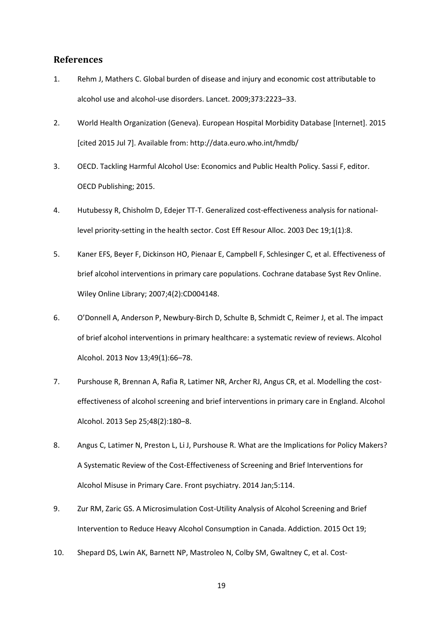## **References**

- 1. Rehm J, Mathers C. Global burden of disease and injury and economic cost attributable to alcohol use and alcohol-use disorders. Lancet. 2009;373:2223-33.
- 2. World Health Organization (Geneva). European Hospital Morbidity Database [Internet]. 2015 [cited 2015 Jul 7]. Available from: http://data.euro.who.int/hmdb/
- 3. OECD. Tackling Harmful Alcohol Use: Economics and Public Health Policy. Sassi F, editor. OECD Publishing; 2015.
- 4. Hutubessy R, Chisholm D, Edejer TT-T. Generalized cost-effectiveness analysis for nationallevel priority-setting in the health sector. Cost Eff Resour Alloc. 2003 Dec 19;1(1):8.
- 5. Kaner EFS, Beyer F, Dickinson HO, Pienaar E, Campbell F, Schlesinger C, et al. Effectiveness of brief alcohol interventions in primary care populations. Cochrane database Syst Rev Online. Wiley Online Library; 2007;4(2):CD004148.
- 6. OíDonnell A, Anderson P, Newbury-Birch D, Schulte B, Schmidt C, Reimer J, et al. The impact of brief alcohol interventions in primary healthcare: a systematic review of reviews. Alcohol Alcohol. 2013 Nov 13;49(1):66-78.
- 7. Purshouse R, Brennan A, Rafia R, Latimer NR, Archer RJ, Angus CR, et al. Modelling the costeffectiveness of alcohol screening and brief interventions in primary care in England. Alcohol Alcohol. 2013 Sep 25;48(2):180-8.
- 8. Angus C, Latimer N, Preston L, Li J, Purshouse R. What are the Implications for Policy Makers? A Systematic Review of the Cost-Effectiveness of Screening and Brief Interventions for Alcohol Misuse in Primary Care. Front psychiatry. 2014 Jan;5:114.
- 9. Zur RM, Zaric GS. A Microsimulation Cost-Utility Analysis of Alcohol Screening and Brief Intervention to Reduce Heavy Alcohol Consumption in Canada. Addiction. 2015 Oct 19;
- 10. Shepard DS, Lwin AK, Barnett NP, Mastroleo N, Colby SM, Gwaltney C, et al. Cost-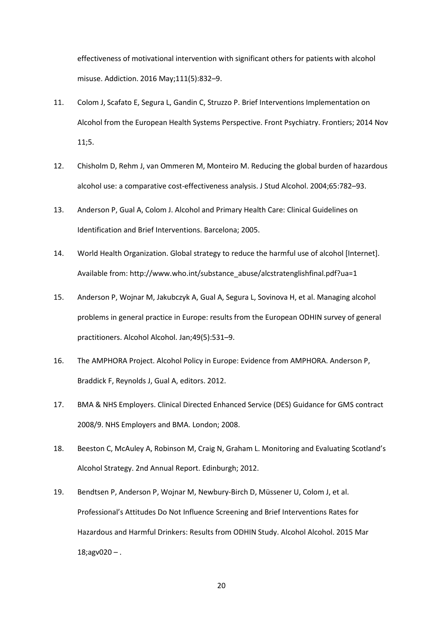effectiveness of motivational intervention with significant others for patients with alcohol misuse. Addiction. 2016 May;111(5):832-9.

- 11. Colom J, Scafato E, Segura L, Gandin C, Struzzo P. Brief Interventions Implementation on Alcohol from the European Health Systems Perspective. Front Psychiatry. Frontiers; 2014 Nov 11;5.
- 12. Chisholm D, Rehm J, van Ommeren M, Monteiro M. Reducing the global burden of hazardous alcohol use: a comparative cost-effectiveness analysis. J Stud Alcohol. 2004;65:782-93.
- 13. Anderson P, Gual A, Colom J. Alcohol and Primary Health Care: Clinical Guidelines on Identification and Brief Interventions. Barcelona; 2005.
- 14. World Health Organization. Global strategy to reduce the harmful use of alcohol [Internet]. Available from: http://www.who.int/substance\_abuse/alcstratenglishfinal.pdf?ua=1
- 15. Anderson P, Wojnar M, Jakubczyk A, Gual A, Segura L, Sovinova H, et al. Managing alcohol problems in general practice in Europe: results from the European ODHIN survey of general practitioners. Alcohol Alcohol. Jan;49(5):531-9.
- 16. The AMPHORA Project. Alcohol Policy in Europe: Evidence from AMPHORA. Anderson P, Braddick F, Reynolds J, Gual A, editors. 2012.
- 17. BMA & NHS Employers. Clinical Directed Enhanced Service (DES) Guidance for GMS contract 2008/9. NHS Employers and BMA. London; 2008.
- 18. Beeston C, McAuley A, Robinson M, Craig N, Graham L. Monitoring and Evaluating Scotlandís Alcohol Strategy. 2nd Annual Report. Edinburgh; 2012.
- 19. Bendtsen P, Anderson P, Wojnar M, Newbury-Birch D, Müssener U, Colom J, et al. Professionalís Attitudes Do Not Influence Screening and Brief Interventions Rates for Hazardous and Harmful Drinkers: Results from ODHIN Study. Alcohol Alcohol. 2015 Mar  $18;$ agv $020 - .$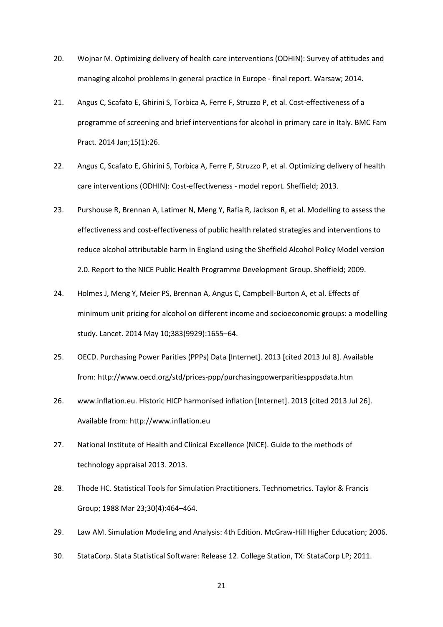- 20. Wojnar M. Optimizing delivery of health care interventions (ODHIN): Survey of attitudes and managing alcohol problems in general practice in Europe - final report. Warsaw; 2014.
- 21. Angus C, Scafato E, Ghirini S, Torbica A, Ferre F, Struzzo P, et al. Cost-effectiveness of a programme of screening and brief interventions for alcohol in primary care in Italy. BMC Fam Pract. 2014 Jan;15(1):26.
- 22. Angus C, Scafato E, Ghirini S, Torbica A, Ferre F, Struzzo P, et al. Optimizing delivery of health care interventions (ODHIN): Cost-effectiveness - model report. Sheffield; 2013.
- 23. Purshouse R, Brennan A, Latimer N, Meng Y, Rafia R, Jackson R, et al. Modelling to assess the effectiveness and cost-effectiveness of public health related strategies and interventions to reduce alcohol attributable harm in England using the Sheffield Alcohol Policy Model version 2.0. Report to the NICE Public Health Programme Development Group. Sheffield; 2009.
- 24. Holmes J, Meng Y, Meier PS, Brennan A, Angus C, Campbell-Burton A, et al. Effects of minimum unit pricing for alcohol on different income and socioeconomic groups: a modelling study. Lancet. 2014 May 10;383(9929):1655-64.
- 25. OECD. Purchasing Power Parities (PPPs) Data [Internet]. 2013 [cited 2013 Jul 8]. Available from: http://www.oecd.org/std/prices-ppp/purchasingpowerparitiespppsdata.htm
- 26. www.inflation.eu. Historic HICP harmonised inflation [Internet]. 2013 [cited 2013 Jul 26]. Available from: http://www.inflation.eu
- 27. National Institute of Health and Clinical Excellence (NICE). Guide to the methods of technology appraisal 2013. 2013.
- 28. Thode HC. Statistical Tools for Simulation Practitioners. Technometrics. Taylor & Francis Group; 1988 Mar 23;30(4):464-464.
- 29. Law AM. Simulation Modeling and Analysis: 4th Edition. McGraw-Hill Higher Education; 2006.
- 30. StataCorp. Stata Statistical Software: Release 12. College Station, TX: StataCorp LP; 2011.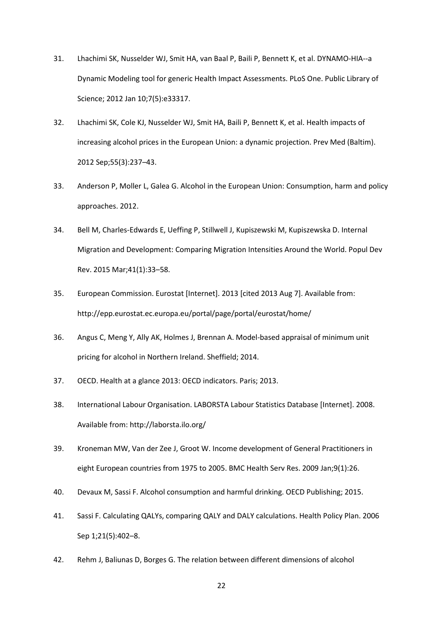- 31. Lhachimi SK, Nusselder WJ, Smit HA, van Baal P, Baili P, Bennett K, et al. DYNAMO-HIA--a Dynamic Modeling tool for generic Health Impact Assessments. PLoS One. Public Library of Science; 2012 Jan 10;7(5):e33317.
- 32. Lhachimi SK, Cole KJ, Nusselder WJ, Smit HA, Baili P, Bennett K, et al. Health impacts of increasing alcohol prices in the European Union: a dynamic projection. Prev Med (Baltim). 2012 Sep;55(3):237-43.
- 33. Anderson P, Moller L, Galea G. Alcohol in the European Union: Consumption, harm and policy approaches. 2012.
- 34. Bell M, Charles-Edwards E, Ueffing P, Stillwell J, Kupiszewski M, Kupiszewska D. Internal Migration and Development: Comparing Migration Intensities Around the World. Popul Dev Rev. 2015 Mar;41(1):33-58.
- 35. European Commission. Eurostat [Internet]. 2013 [cited 2013 Aug 7]. Available from: http://epp.eurostat.ec.europa.eu/portal/page/portal/eurostat/home/
- 36. Angus C, Meng Y, Ally AK, Holmes J, Brennan A. Model-based appraisal of minimum unit pricing for alcohol in Northern Ireland. Sheffield; 2014.
- 37. OECD. Health at a glance 2013: OECD indicators. Paris; 2013.
- 38. International Labour Organisation. LABORSTA Labour Statistics Database [Internet]. 2008. Available from: http://laborsta.ilo.org/
- 39. Kroneman MW, Van der Zee J, Groot W. Income development of General Practitioners in eight European countries from 1975 to 2005. BMC Health Serv Res. 2009 Jan;9(1):26.
- 40. Devaux M, Sassi F. Alcohol consumption and harmful drinking. OECD Publishing; 2015.
- 41. Sassi F. Calculating QALYs, comparing QALY and DALY calculations. Health Policy Plan. 2006 Sep 1;21(5):402-8.
- 42. Rehm J, Baliunas D, Borges G. The relation between different dimensions of alcohol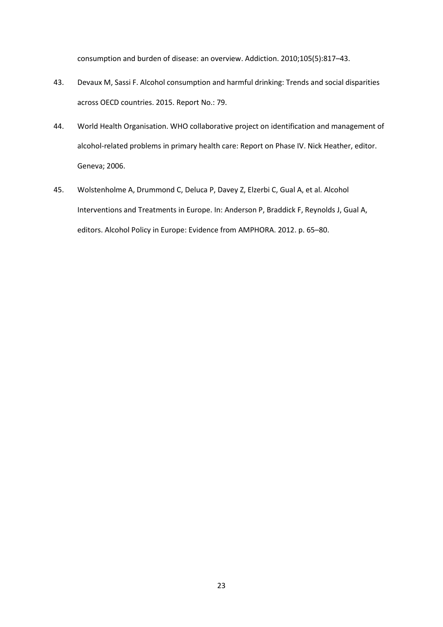consumption and burden of disease: an overview. Addiction. 2010;105(5):817-43.

- 43. Devaux M, Sassi F. Alcohol consumption and harmful drinking: Trends and social disparities across OECD countries. 2015. Report No.: 79.
- 44. World Health Organisation. WHO collaborative project on identification and management of alcohol-related problems in primary health care: Report on Phase IV. Nick Heather, editor. Geneva; 2006.
- <span id="page-23-0"></span>45. Wolstenholme A, Drummond C, Deluca P, Davey Z, Elzerbi C, Gual A, et al. Alcohol Interventions and Treatments in Europe. In: Anderson P, Braddick F, Reynolds J, Gual A, editors. Alcohol Policy in Europe: Evidence from AMPHORA. 2012. p. 65-80.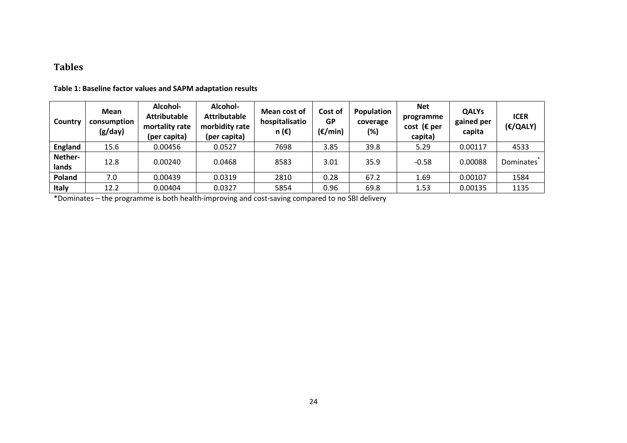# **Tables**

| Country          | Mean<br>consumption<br>(g/day) | Alcohol-<br><b>Attributable</b><br>mortality rate<br>(per capita) | Alcohol-<br><b>Attributable</b><br>morbidity rate<br>(per capita) | Mean cost of<br>hospitalisatio<br>n ( $\epsilon$ ) | Cost of<br>GP<br>$(\epsilon/min)$ | Population<br>coverage<br>(%) | <b>Net</b><br>programme<br>cost ( $\epsilon$ per<br>capita) | <b>QALYs</b><br>gained per<br>capita | <b>ICER</b><br>(€/QALY) |
|------------------|--------------------------------|-------------------------------------------------------------------|-------------------------------------------------------------------|----------------------------------------------------|-----------------------------------|-------------------------------|-------------------------------------------------------------|--------------------------------------|-------------------------|
| England          | 15.6                           | 0.00456                                                           | 0.0527                                                            | 7698                                               | 3.85                              | 39.8                          | 5.29                                                        | 0.00117                              | 4533                    |
| Nether-<br>lands | 12.8                           | 0.00240                                                           | 0.0468                                                            | 8583                                               | 3.01                              | 35.9                          | $-0.58$                                                     | 0.00088                              | <b>Dominates</b>        |
| Poland           | 7.0                            | 0.00439                                                           | 0.0319                                                            | 2810                                               | 0.28                              | 67.2                          | 1.69                                                        | 0.00107                              | 1584                    |
| <b>Italy</b>     | 12.2                           | 0.00404                                                           | 0.0327                                                            | 5854                                               | 0.96                              | 69.8                          | 1.53                                                        | 0.00135                              | 1135                    |

**Table 1: Baseline factor values and SAPM adaptation results**

\*Dominates ñ the programme is both health-improving and cost-saving compared to no SBI delivery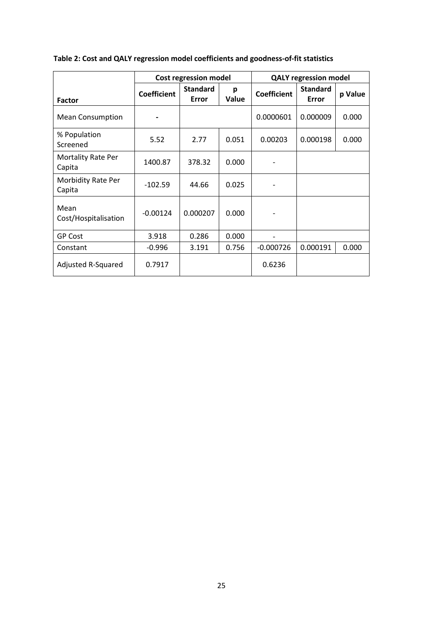|                              |                    | <b>Cost regression model</b> |            | <b>QALY regression model</b> |                                 |         |  |
|------------------------------|--------------------|------------------------------|------------|------------------------------|---------------------------------|---------|--|
| <b>Factor</b>                | <b>Coefficient</b> | <b>Standard</b><br>Error     | p<br>Value | <b>Coefficient</b>           | <b>Standard</b><br><b>Error</b> | p Value |  |
| <b>Mean Consumption</b>      |                    |                              |            | 0.0000601                    | 0.000009                        | 0.000   |  |
| % Population<br>Screened     | 5.52               | 2.77                         | 0.051      | 0.00203                      | 0.000198                        | 0.000   |  |
| Mortality Rate Per<br>Capita | 1400.87            | 378.32                       | 0.000      |                              |                                 |         |  |
| Morbidity Rate Per<br>Capita | $-102.59$          | 44.66                        | 0.025      |                              |                                 |         |  |
| Mean<br>Cost/Hospitalisation | $-0.00124$         | 0.000207                     | 0.000      |                              |                                 |         |  |
| <b>GP Cost</b>               | 3.918              | 0.286                        | 0.000      |                              |                                 |         |  |
| Constant                     | $-0.996$           | 3.191                        | 0.756      | $-0.000726$                  | 0.000191                        | 0.000   |  |
| Adjusted R-Squared           | 0.7917             |                              |            | 0.6236                       |                                 |         |  |

# **Table 2: Cost and QALY regression model coefficients and goodness-of-fit statistics**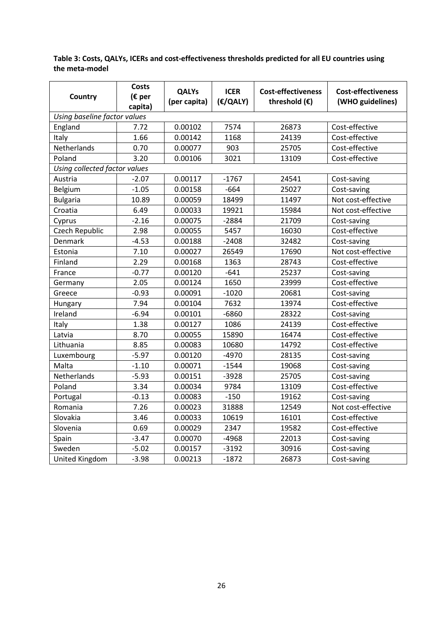| Table 3: Costs, QALYs, ICERs and cost-effectiveness thresholds predicted for all EU countries using |
|-----------------------------------------------------------------------------------------------------|
| the meta-model                                                                                      |

| Country                       | <b>Costs</b><br>( $\epsilon$ per<br>capita) | <b>QALYs</b><br>(per capita) | <b>ICER</b><br>(€/QALY) | <b>Cost-effectiveness</b><br>threshold $(\epsilon)$ | <b>Cost-effectiveness</b><br>(WHO guidelines) |  |  |
|-------------------------------|---------------------------------------------|------------------------------|-------------------------|-----------------------------------------------------|-----------------------------------------------|--|--|
| Using baseline factor values  |                                             |                              |                         |                                                     |                                               |  |  |
| England                       | 7.72                                        | 0.00102                      | 7574                    | 26873                                               | Cost-effective                                |  |  |
| Italy                         | 1.66                                        | 0.00142                      | 1168                    | 24139                                               | Cost-effective                                |  |  |
| Netherlands                   | 0.70                                        | 0.00077                      | 903                     | 25705                                               | Cost-effective                                |  |  |
| Poland                        | 3.20                                        | 0.00106                      | 3021                    | 13109                                               | Cost-effective                                |  |  |
| Using collected factor values |                                             |                              |                         |                                                     |                                               |  |  |
| Austria                       | $-2.07$                                     | 0.00117                      | $-1767$                 | 24541                                               | Cost-saving                                   |  |  |
| Belgium                       | $-1.05$                                     | 0.00158                      | $-664$                  | 25027                                               | Cost-saving                                   |  |  |
| <b>Bulgaria</b>               | 10.89                                       | 0.00059                      | 18499                   | 11497                                               | Not cost-effective                            |  |  |
| Croatia                       | 6.49                                        | 0.00033                      | 19921                   | 15984                                               | Not cost-effective                            |  |  |
| Cyprus                        | $-2.16$                                     | 0.00075                      | $-2884$                 | 21709                                               | Cost-saving                                   |  |  |
| Czech Republic                | 2.98                                        | 0.00055                      | 5457                    | 16030                                               | Cost-effective                                |  |  |
| <b>Denmark</b>                | $-4.53$                                     | 0.00188                      | $-2408$                 | 32482                                               | Cost-saving                                   |  |  |
| Estonia                       | 7.10                                        | 0.00027                      | 26549                   | 17690                                               | Not cost-effective                            |  |  |
| Finland                       | 2.29                                        | 0.00168                      | 1363                    | 28743                                               | Cost-effective                                |  |  |
| France                        | $-0.77$                                     | 0.00120                      | $-641$                  | 25237                                               | Cost-saving                                   |  |  |
| Germany                       | 2.05                                        | 0.00124                      | 1650                    | 23999                                               | Cost-effective                                |  |  |
| Greece                        | $-0.93$                                     | 0.00091                      | $-1020$                 | 20681                                               | Cost-saving                                   |  |  |
| Hungary                       | 7.94                                        | 0.00104                      | 7632                    | 13974                                               | Cost-effective                                |  |  |
| Ireland                       | $-6.94$                                     | 0.00101                      | $-6860$                 | 28322                                               | Cost-saving                                   |  |  |
| Italy                         | 1.38                                        | 0.00127                      | 1086                    | 24139                                               | Cost-effective                                |  |  |
| Latvia                        | 8.70                                        | 0.00055                      | 15890                   | 16474                                               | Cost-effective                                |  |  |
| Lithuania                     | 8.85                                        | 0.00083                      | 10680                   | 14792                                               | Cost-effective                                |  |  |
| Luxembourg                    | $-5.97$                                     | 0.00120                      | $-4970$                 | 28135                                               | Cost-saving                                   |  |  |
| Malta                         | $-1.10$                                     | 0.00071                      | $-1544$                 | 19068                                               | Cost-saving                                   |  |  |
| Netherlands                   | $-5.93$                                     | 0.00151                      | $-3928$                 | 25705                                               | Cost-saving                                   |  |  |
| Poland                        | 3.34                                        | 0.00034                      | 9784                    | 13109                                               | Cost-effective                                |  |  |
| Portugal                      | $-0.13$                                     | 0.00083                      | $-150$                  | 19162                                               | Cost-saving                                   |  |  |
| Romania                       | 7.26                                        | 0.00023                      | 31888                   | 12549                                               | Not cost-effective                            |  |  |
| Slovakia                      | 3.46                                        | 0.00033                      | 10619                   | 16101                                               | Cost-effective                                |  |  |
| Slovenia                      | 0.69                                        | 0.00029                      | 2347                    | 19582                                               | Cost-effective                                |  |  |
| Spain                         | $-3.47$                                     | 0.00070                      | $-4968$                 | 22013                                               | Cost-saving                                   |  |  |
| Sweden                        | $-5.02$                                     | 0.00157                      | $-3192$                 | 30916                                               | Cost-saving                                   |  |  |
| United Kingdom                | $-3.98$                                     | 0.00213                      | $-1872$                 | 26873                                               | Cost-saving                                   |  |  |